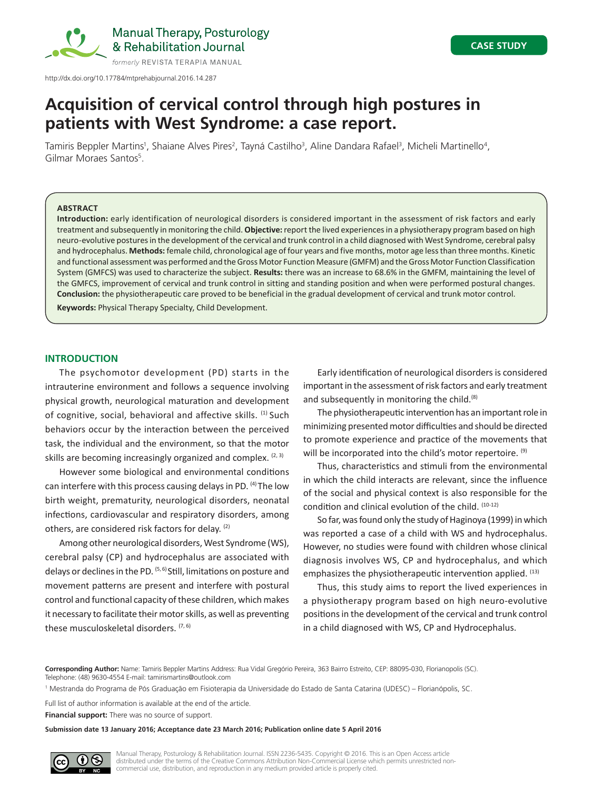

Manual Therapy, Posturology & Rehabilitation Journal

# **Acquisition of cervical control through high postures in patients with West Syndrome: a case report.**

Tamiris Beppler Martins<sup>1</sup>, Shaiane Alves Pires<sup>2</sup>, Tayná Castilho<sup>3</sup>, Aline Dandara Rafael<sup>3</sup>, Micheli Martinello<sup>4</sup>, Gilmar Moraes Santos<sup>5</sup>.

## **ABSTRACT**

**Introduction:** early identification of neurological disorders is considered important in the assessment of risk factors and early treatment and subsequently in monitoring the child. **Objective:** report the lived experiences in a physiotherapy program based on high neuro‑evolutive postures in the development of the cervical and trunk control in a child diagnosed with West Syndrome, cerebral palsy and hydrocephalus. **Methods:** female child, chronological age of four years and five months, motor age less than three months. Kinetic and functional assessment was performed and the Gross Motor Function Measure (GMFM) and the Gross Motor Function Classification System (GMFCS) was used to characterize the subject. **Results:** there was an increase to 68.6% in the GMFM, maintaining the level of the GMFCS, improvement of cervical and trunk control in sitting and standing position and when were performed postural changes. **Conclusion:** the physiotherapeutic care proved to be beneficial in the gradual development of cervical and trunk motor control. **Keywords:** Physical Therapy Specialty, Child Development.

# **INTRODUCTION**

The psychomotor development (PD) starts in the intrauterine environment and follows a sequence involving physical growth, neurological maturation and development of cognitive, social, behavioral and affective skills. (1) Such behaviors occur by the interaction between the perceived task, the individual and the environment, so that the motor skills are becoming increasingly organized and complex.  $(2, 3)$ 

However some biological and environmental conditions can interfere with this process causing delays in PD. <sup>(4)</sup> The low birth weight, prematurity, neurological disorders, neonatal infections, cardiovascular and respiratory disorders, among others, are considered risk factors for delay. (2)

Among other neurological disorders, West Syndrome (WS), cerebral palsy (CP) and hydrocephalus are associated with delays or declines in the PD. <sup>(5, 6)</sup> Still, limitations on posture and movement patterns are present and interfere with postural control and functional capacity of these children, which makes it necessary to facilitate their motor skills, as well as preventing these musculoskeletal disorders.  $(7, 6)$ 

Early identification of neurological disorders is considered important in the assessment of risk factors and early treatment and subsequently in monitoring the child.<sup>(8)</sup>

The physiotherapeutic intervention has an important role in minimizing presented motor difficulties and should be directed to promote experience and practice of the movements that will be incorporated into the child's motor repertoire. (9)

Thus, characteristics and stimuli from the environmental in which the child interacts are relevant, since the influence of the social and physical context is also responsible for the condition and clinical evolution of the child. (10-12)

So far, was found only the study of Haginoya (1999) in which was reported a case of a child with WS and hydrocephalus. However, no studies were found with children whose clinical diagnosis involves WS, CP and hydrocephalus, and which emphasizes the physiotherapeutic intervention applied. (13)

Thus, this study aims to report the lived experiences in a physiotherapy program based on high neuro-evolutive positions in the development of the cervical and trunk control in a child diagnosed with WS, CP and Hydrocephalus.

**Corresponding Author:** Name: Tamiris Beppler Martins Address: Rua Vidal Gregório Pereira, 363 Bairro Estreito, CEP: 88095-030, Florianopolis (SC). Telephone: (48) 9630-4554 E-mail: tamirismartins@outlook.com

1 Mestranda do Programa de Pós Graduação em Fisioterapia da Universidade do Estado de Santa Catarina (UDESC) – Florianópolis, SC.

Full list of author information is available at the end of the article.

**Financial support:** There was no source of support.

**Submission date 13 January 2016; Acceptance date 23 March 2016; Publication online date 5 April 2016**

**NS** 

Manual Therapy, Posturology & Rehabilitation Journal. ISSN 2236-5435. Copyright © 2016. This is an Open Access article distributed under the terms of the Creative Commons Attribution Non-Commercial License which permits unrestricted noncommercial use, distribution, and reproduction in any medium provided article is properly cited.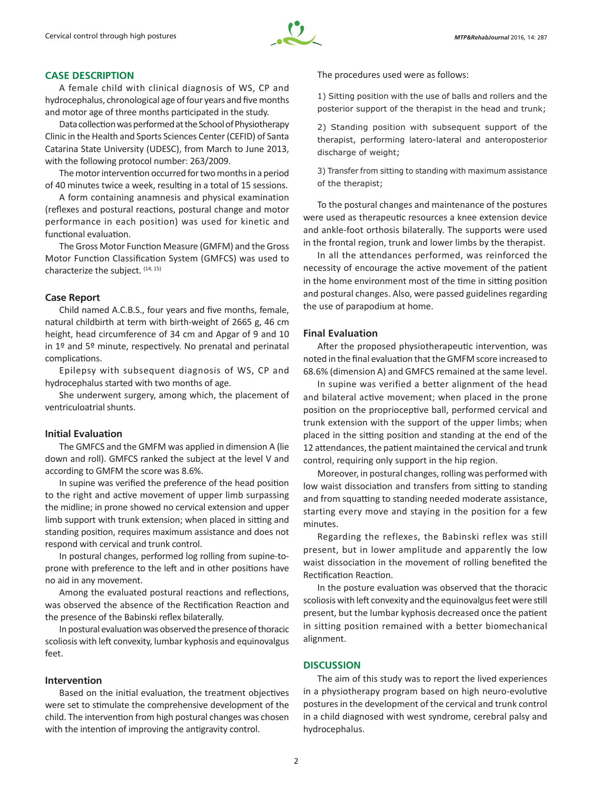

# **CASE DESCRIPTION**

A female child with clinical diagnosis of WS, CP and hydrocephalus, chronological age of four years and five months and motor age of three months participated in the study.

Data collection was performed at the School of Physiotherapy Clinic in the Health and Sports Sciences Center (CEFID) of Santa Catarina State University (UDESC), from March to June 2013, with the following protocol number: 263/2009.

The motor intervention occurred for two months in a period of 40 minutes twice a week, resulting in a total of 15 sessions.

A form containing anamnesis and physical examination (reflexes and postural reactions, postural change and motor performance in each position) was used for kinetic and functional evaluation.

The Gross Motor Function Measure (GMFM) and the Gross Motor Function Classification System (GMFCS) was used to characterize the subject. (14, 15)

## **Case Report**

Child named A.C.B.S., four years and five months, female, natural childbirth at term with birth-weight of 2665 g, 46 cm height, head circumference of 34 cm and Apgar of 9 and 10 in 1º and 5º minute, respectively. No prenatal and perinatal complications.

Epilepsy with subsequent diagnosis of WS, CP and hydrocephalus started with two months of age.

She underwent surgery, among which, the placement of ventriculoatrial shunts.

### **Initial Evaluation**

The GMFCS and the GMFM was applied in dimension A (lie down and roll). GMFCS ranked the subject at the level V and according to GMFM the score was 8.6%.

In supine was verified the preference of the head position to the right and active movement of upper limb surpassing the midline; in prone showed no cervical extension and upper limb support with trunk extension; when placed in sitting and standing position, requires maximum assistance and does not respond with cervical and trunk control.

In postural changes, performed log rolling from supine-toprone with preference to the left and in other positions have no aid in any movement.

Among the evaluated postural reactions and reflections, was observed the absence of the Rectification Reaction and the presence of the Babinski reflex bilaterally.

In postural evaluation was observed the presence of thoracic scoliosis with left convexity, lumbar kyphosis and equinovalgus feet.

## **Intervention**

Based on the initial evaluation, the treatment objectives were set to stimulate the comprehensive development of the child. The intervention from high postural changes was chosen with the intention of improving the antigravity control.

The procedures used were as follows:

1) Sitting position with the use of balls and rollers and the posterior support of the therapist in the head and trunk;

2) Standing position with subsequent support of the therapist, performing latero-lateral and anteroposterior discharge of weight;

3) Transfer from sitting to standing with maximum assistance of the therapist;

To the postural changes and maintenance of the postures were used as therapeutic resources a knee extension device and ankle-foot orthosis bilaterally. The supports were used in the frontal region, trunk and lower limbs by the therapist.

In all the attendances performed, was reinforced the necessity of encourage the active movement of the patient in the home environment most of the time in sitting position and postural changes. Also, were passed guidelines regarding the use of parapodium at home.

#### **Final Evaluation**

After the proposed physiotherapeutic intervention, was noted in the final evaluation that the GMFM score increased to 68.6% (dimension A) and GMFCS remained at the same level.

In supine was verified a better alignment of the head and bilateral active movement; when placed in the prone position on the proprioceptive ball, performed cervical and trunk extension with the support of the upper limbs; when placed in the sitting position and standing at the end of the 12 attendances, the patient maintained the cervical and trunk control, requiring only support in the hip region.

Moreover, in postural changes, rolling was performed with low waist dissociation and transfers from sitting to standing and from squatting to standing needed moderate assistance, starting every move and staying in the position for a few minutes.

Regarding the reflexes, the Babinski reflex was still present, but in lower amplitude and apparently the low waist dissociation in the movement of rolling benefited the Rectification Reaction.

In the posture evaluation was observed that the thoracic scoliosis with left convexity and the equinovalgus feet were still present, but the lumbar kyphosis decreased once the patient in sitting position remained with a better biomechanical alignment.

# **DISCUSSION**

The aim of this study was to report the lived experiences in a physiotherapy program based on high neuro-evolutive postures in the development of the cervical and trunk control in a child diagnosed with west syndrome, cerebral palsy and hydrocephalus.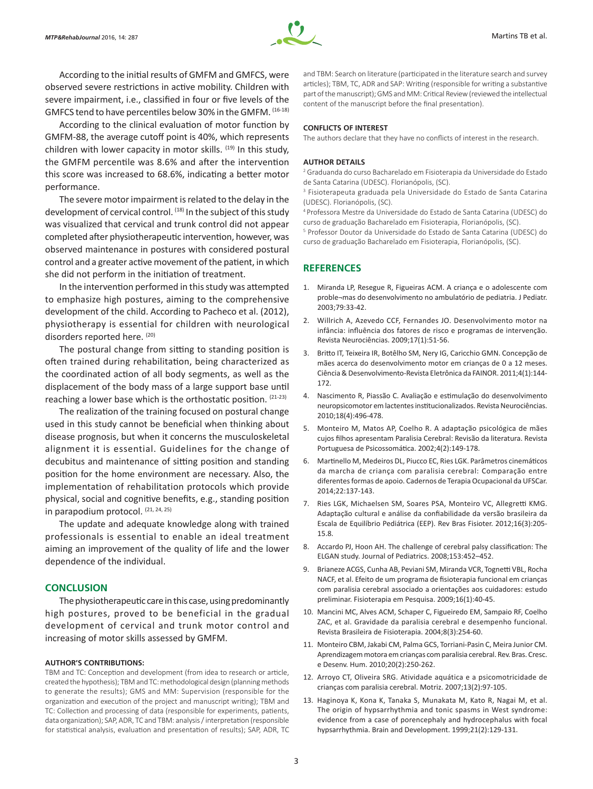

According to the initial results of GMFM and GMFCS, were observed severe restrictions in active mobility. Children with severe impairment, i.e., classified in four or five levels of the GMFCS tend to have percentiles below 30% in the GMFM. (16-18)

According to the clinical evaluation of motor function by GMFM-88, the average cutoff point is 40%, which represents children with lower capacity in motor skills.  $(19)$  In this study, the GMFM percentile was 8.6% and after the intervention this score was increased to 68.6%, indicating a better motor performance.

The severe motor impairment is related to the delay in the development of cervical control. (18) In the subject of this study was visualized that cervical and trunk control did not appear completed after physiotherapeutic intervention, however, was observed maintenance in postures with considered postural control and a greater active movement of the patient, in which she did not perform in the initiation of treatment.

In the intervention performed in this study was attempted to emphasize high postures, aiming to the comprehensive development of the child. According to Pacheco et al. (2012), physiotherapy is essential for children with neurological disorders reported here. (20)

The postural change from sitting to standing position is often trained during rehabilitation, being characterized as the coordinated action of all body segments, as well as the displacement of the body mass of a large support base until reaching a lower base which is the orthostatic position. (21-23)

The realization of the training focused on postural change used in this study cannot be beneficial when thinking about disease prognosis, but when it concerns the musculoskeletal alignment it is essential. Guidelines for the change of decubitus and maintenance of sitting position and standing position for the home environment are necessary. Also, the implementation of rehabilitation protocols which provide physical, social and cognitive benefits, e.g., standing position in parapodium protocol. (21, 24, 25)

The update and adequate knowledge along with trained professionals is essential to enable an ideal treatment aiming an improvement of the quality of life and the lower dependence of the individual.

## **CONCLUSION**

The physiotherapeutic care in this case, using predominantly high postures, proved to be beneficial in the gradual development of cervical and trunk motor control and increasing of motor skills assessed by GMFM.

#### **AUTHOR'S CONTRIBUTIONS:**

TBM and TC: Conception and development (from idea to research or article, created the hypothesis); TBM and TC: methodological design (planning methods to generate the results); GMS and MM: Supervision (responsible for the organization and execution of the project and manuscript writing); TBM and TC: Collection and processing of data (responsible for experiments, patients, data organization); SAP, ADR, TC and TBM: analysis / interpretation (responsible for statistical analysis, evaluation and presentation of results); SAP, ADR, TC and TBM: Search on literature (participated in the literature search and survey articles); TBM, TC, ADR and SAP: Writing (responsible for writing a substantive part of the manuscript); GMS and MM: Critical Review (reviewed the intellectual content of the manuscript before the final presentation).

#### **CONFLICTS OF INTEREST**

The authors declare that they have no conflicts of interest in the research.

#### **AUTHOR DETAILS**

2 Graduanda do curso Bacharelado em Fisioterapia da Universidade do Estado de Santa Catarina (UDESC). Florianópolis, (SC).

3 Fisioterapeuta graduada pela Universidade do Estado de Santa Catarina (UDESC). Florianópolis, (SC).

<sup>4</sup>Professora Mestre da Universidade do Estado de Santa Catarina (UDESC) do curso de graduação Bacharelado em Fisioterapia, Florianópolis, (SC).

5 Professor Doutor da Universidade do Estado de Santa Catarina (UDESC) do curso de graduação Bacharelado em Fisioterapia, Florianópolis, (SC).

# **REFERENCES**

- 1. Miranda LP, Resegue R, Figueiras ACM. A criança e o adolescente com proble¬mas do desenvolvimento no ambulatório de pediatria. J Pediatr. 2003;79:33-42.
- 2. Willrich A, Azevedo CCF, Fernandes JO. Desenvolvimento motor na infância: influência dos fatores de risco e programas de intervenção. Revista Neurociências. 2009;17(1):51-56.
- 3. Britto IT, Teixeira IR, Botêlho SM, Nery IG, Caricchio GMN. Concepção de mães acerca do desenvolvimento motor em crianças de 0 a 12 meses. Ciência & Desenvolvimento-Revista Eletrônica da FAINOR. 2011;4(1):144- 172.
- 4. Nascimento R, Piassão C. Avaliação e estimulação do desenvolvimento neuropsicomotor em lactentes institucionalizados. Revista Neurociências. 2010;18(4):496-478.
- 5. Monteiro M, Matos AP, Coelho R. A adaptação psicológica de mães cujos filhos apresentam Paralisia Cerebral: Revisão da literatura. Revista Portuguesa de Psicossomática. 2002;4(2):149-178.
- 6. Martinello M, Medeiros DL, Piucco EC, Ries LGK. Parâmetros cinemáticos da marcha de criança com paralisia cerebral: Comparação entre diferentes formas de apoio. Cadernos de Terapia Ocupacional da UFSCar. 2014;22:137-143.
- 7. Ries LGK, Michaelsen SM, Soares PSA, Monteiro VC, Allegretti KMG. Adaptação cultural e análise da confiabilidade da versão brasileira da Escala de Equilíbrio Pediátrica (EEP). Rev Bras Fisioter. 2012;16(3):205- 15.8.
- 8. Accardo PJ, Hoon AH. The challenge of cerebral palsy classification: The ELGAN study. Journal of Pediatrics. 2008;153:452–452.
- 9. Brianeze ACGS, Cunha AB, Peviani SM, Miranda VCR, Tognetti VBL, Rocha NACF, et al. Efeito de um programa de fisioterapia funcional em crianças com paralisia cerebral associado a orientações aos cuidadores: estudo preliminar. Fisioterapia em Pesquisa. 2009;16(1):40-45.
- 10. Mancini MC, Alves ACM, Schaper C, Figueiredo EM, Sampaio RF, Coelho ZAC, et al. Gravidade da paralisia cerebral e desempenho funcional. Revista Brasileira de Fisioterapia. 2004;8(3):254-60.
- 11. Monteiro CBM, Jakabi CM, Palma GCS, Torriani-Pasin C, Meira Junior CM. Aprendizagem motora em crianças com paralisia cerebral. Rev. Bras. Cresc. e Desenv. Hum. 2010;20(2):250-262.
- 12. Arroyo CT, Oliveira SRG. Atividade aquática e a psicomotricidade de crianças com paralisia cerebral. Motriz. 2007;13(2):97-105.
- 13. Haginoya K, Kona K, Tanaka S, Munakata M, Kato R, Nagai M, et al. The origin of hypsarrhythmia and tonic spasms in West syndrome: evidence from a case of porencephaly and hydrocephalus with focal hypsarrhythmia. Brain and Development. 1999;21(2):129-131.